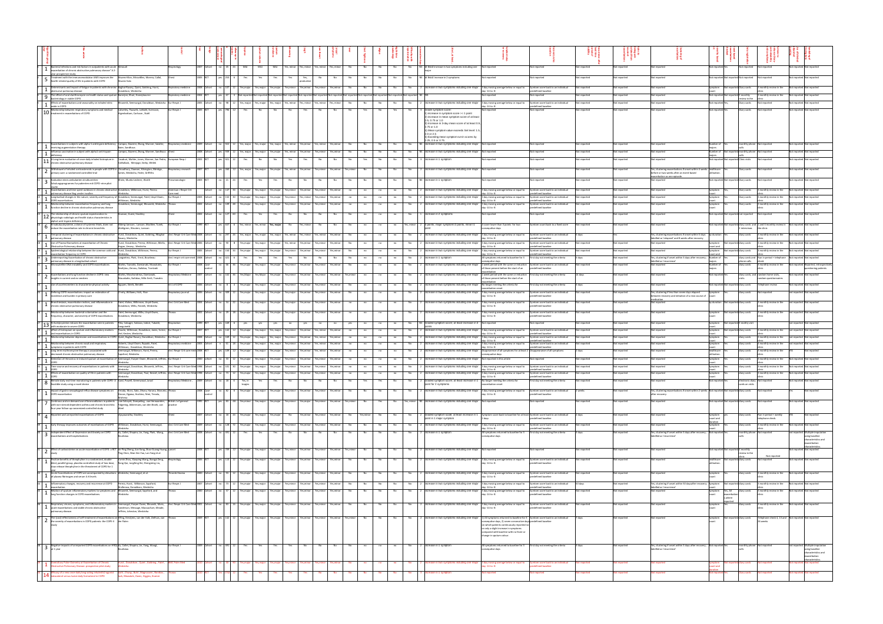|                 |                                                                                                                                                                                                                                                                                                                                                                                                                                                                     |                                                                                                                        |             |                                                                                      |         |  |    |          |                 |    |                          |                                                                                                                             |                                                                                                                                                                                                                                               | uo paes<br>Asavose                                                                                                    | man<br>sed time<br>had time | Rules to<br>distinguish<br>distinguish<br>exace bations<br>exace bations | lustering of<br>Mostrons                                                                                        |                                     |                                           | complete)<br>Happen A<br>Happen Complete  |                                                                            |
|-----------------|---------------------------------------------------------------------------------------------------------------------------------------------------------------------------------------------------------------------------------------------------------------------------------------------------------------------------------------------------------------------------------------------------------------------------------------------------------------------|------------------------------------------------------------------------------------------------------------------------|-------------|--------------------------------------------------------------------------------------|---------|--|----|----------|-----------------|----|--------------------------|-----------------------------------------------------------------------------------------------------------------------------|-----------------------------------------------------------------------------------------------------------------------------------------------------------------------------------------------------------------------------------------------|-----------------------------------------------------------------------------------------------------------------------|-----------------------------|--------------------------------------------------------------------------|-----------------------------------------------------------------------------------------------------------------|-------------------------------------|-------------------------------------------|-------------------------------------------|----------------------------------------------------------------------------|
|                 | $\begin{array}{r} \hline 1 & \text{Bacterial infections and risk factors in outputs with actualcoacertation of chronic obstructive polymography disease? A 2we are reasonable study. \hline \end{array}$                                                                                                                                                                                                                                                            |                                                                                                                        |             |                                                                                      |         |  |    |          |                 |    |                          | at lea                                                                                                                      |                                                                                                                                                                                                                                               |                                                                                                                       |                             |                                                                          |                                                                                                                 |                                     |                                           |                                           |                                                                            |
|                 | odulator AM3 improves the                                                                                                                                                                                                                                                                                                                                                                                                                                           | rz-Mon. Miray<br>arez-Sala                                                                                             |             |                                                                                      |         |  |    |          |                 |    |                          |                                                                                                                             |                                                                                                                                                                                                                                               |                                                                                                                       |                             |                                                                          |                                                                                                                 |                                     |                                           |                                           |                                                                            |
|                 |                                                                                                                                                                                                                                                                                                                                                                                                                                                                     | .<br>Ighai-Ravary, Quint, Goldring, H<br>ison, Wedzicha                                                                |             |                                                                                      |         |  |    |          |                 |    |                          |                                                                                                                             | $tary -14 to -8$                                                                                                                                                                                                                              |                                                                                                                       |                             |                                                                          |                                                                                                                 |                                     |                                           |                                           |                                                                            |
|                 |                                                                                                                                                                                                                                                                                                                                                                                                                                                                     | riee, Khair, Honeyb                                                                                                    |             |                                                                                      |         |  |    |          |                 |    |                          |                                                                                                                             | reported                                                                                                                                                                                                                                      | redefined baseline<br>ot reported                                                                                     |                             |                                                                          |                                                                                                                 |                                     | ew in the                                 |                                           |                                                                            |
|                 |                                                                                                                                                                                                                                                                                                                                                                                                                                                                     | mik, Seemungal, Donald                                                                                                 |             |                                                                                      |         |  |    |          |                 |    |                          |                                                                                                                             | 3 day moving average<br>day -14 to -8                                                                                                                                                                                                         | m score back to an ind                                                                                                |                             |                                                                          |                                                                                                                 |                                     |                                           |                                           |                                                                            |
|                 |                                                                                                                                                                                                                                                                                                                                                                                                                                                                     | irley, Pauwels, Lofdahl, Sv<br>rbottam, Carlsson , Stahl                                                               |             |                                                                                      |         |  |    |          |                 |    |                          | Grade symptom score:<br>1) increase in symptom score $> = 1$ point<br>2) increase in mean symptom score of at leas          |                                                                                                                                                                                                                                               |                                                                                                                       |                             |                                                                          |                                                                                                                 |                                     |                                           |                                           |                                                                            |
|                 |                                                                                                                                                                                                                                                                                                                                                                                                                                                                     |                                                                                                                        |             |                                                                                      |         |  |    |          |                 |    |                          | 0.5, 0.75 or 1.0<br>3) Increase in 3-day mean score of at least 0.5                                                         |                                                                                                                                                                                                                                               |                                                                                                                       |                             |                                                                          |                                                                                                                 |                                     |                                           |                                           |                                                                            |
|                 |                                                                                                                                                                                                                                                                                                                                                                                                                                                                     |                                                                                                                        |             |                                                                                      |         |  |    |          |                 |    |                          | 3) Interesses in 3-day mean score or at least 0<br>0.75 or 1.0<br>4) Mean symptom value exceeds Set level: 1.<br>2.0 or 2.5 |                                                                                                                                                                                                                                               |                                                                                                                       |                             |                                                                          |                                                                                                                 |                                     |                                           |                                           |                                                                            |
|                 |                                                                                                                                                                                                                                                                                                                                                                                                                                                                     | mpos, Alazemi, Zhang, Wanner, Sala                                                                                     |             |                                                                                      |         |  |    |          |                 |    |                          | 5) Exceding mean symptom run-in scores by<br>0.25, 0.5 or 0.75<br>NS increase in two sympton                                |                                                                                                                                                                                                                                               |                                                                                                                       |                             |                                                                          |                                                                                                                 |                                     |                                           |                                           |                                                                            |
|                 |                                                                                                                                                                                                                                                                                                                                                                                                                                                                     | Baier, Sandhaus<br>lampos, Alazemi, Zhang, Wanner, Sandha                                                              |             |                                                                                      |         |  |    | No       | No              |    | No                       | NS increase in two sympto                                                                                                   |                                                                                                                                                                                                                                               | reported                                                                                                              | ot reported                 | reported                                                                 | reported                                                                                                        | najors                              | thiv ohor                                 | t reported                                |                                                                            |
|                 |                                                                                                                                                                                                                                                                                                                                                                                                                                                                     | .<br>Jasaburi, Mahler, Jones, Wanner, San Ped<br>Wallack, Menjoge, Serby, Witlek                                       |             |                                                                                      |         |  |    |          |                 |    |                          |                                                                                                                             |                                                                                                                                                                                                                                               |                                                                                                                       |                             |                                                                          |                                                                                                                 |                                     |                                           |                                           |                                                                            |
|                 | $\begin{tabular}{ c c } \hline \multicolumn{3}{ c }{\hline \multicolumn{3}{ c }{\hline \multicolumn{3}{ c }{\hline \multicolumn{3}{ c }{\hline \multicolumn{3}{ c }{\hline \multicolumn{3}{ c }{\hline \multicolumn{3}{ c }{\hline \multicolumn{3}{ c }{\hline \multicolumn{3}{ c }{\hline \multicolumn{3}{ c }{\hline \multicolumn{3}{ c }{\hline \multicolumn{3}{ c }{\hline \multicolumn{3}{ c }{\hline \multicolumn{3}{ c }{\hline \multicolumn{3}{ c$          | houdhury, Dawson, Kilvington, Eldri<br>mes, Wedzicha, Feder, Griffiths                                                 |             |                                                                                      |         |  |    |          |                 |    |                          |                                                                                                                             |                                                                                                                                                                                                                                               |                                                                                                                       |                             |                                                                          | , clustering exacerbations if onset within<br>ore or two weeks after an event-based                             |                                     |                                           |                                           |                                                                            |
|                 | $\begin{tabular}{ c c } \hline \multicolumn{3}{ c }{3} & \multicolumn{3}{ c }{5} & \multicolumn{3}{ c }{5} & \multicolumn{3}{ c }{5} & \multicolumn{3}{ c }{5} & \multicolumn{3}{ c }{5} & \multicolumn{3}{ c }{5} & \multicolumn{3}{ c }{5} & \multicolumn{3}{ c }{5} & \multicolumn{3}{ c }{5} & \multicolumn{3}{ c }{5} & \multicolumn{3}{ c }{5} & \multicolumn{3}{ c }{5} & \multicolumn{3}{ c }{5} & \multicolumn{3}{ c$                                      | .<br>Mande Lodone Mi                                                                                                   |             |                                                                                      |         |  |    |          |                 |    |                          |                                                                                                                             |                                                                                                                                                                                                                                               |                                                                                                                       |                             |                                                                          | rbation as one episode.                                                                                         |                                     |                                           |                                           |                                                                            |
|                 |                                                                                                                                                                                                                                                                                                                                                                                                                                                                     | Ison, Wilkinson, Hurst, Perera                                                                                         |             |                                                                                      |         |  |    |          |                 |    | No.                      |                                                                                                                             | oving average below or equal to                                                                                                                                                                                                               |                                                                                                                       |                             |                                                                          | reported                                                                                                        |                                     |                                           |                                           |                                                                            |
|                 |                                                                                                                                                                                                                                                                                                                                                                                                                                                                     | Vedzicha<br>Jonaldson, Seemungal, Patel, Lloyd-Owen<br>:<br>Lur Respir J                                               |             |                                                                                      |         |  |    |          | $\overline{10}$ |    | $\overline{\phantom{1}}$ | including one major                                                                                                         | day -14 to -8<br>3 day moving average below or equal to<br>$\tan -14 to -8$                                                                                                                                                                   | .<br>predefined baseline<br>Symtom score back to an individua<br>redefined baseline                                   |                             |                                                                          | reported                                                                                                        |                                     |                                           |                                           |                                                                            |
|                 |                                                                                                                                                                                                                                                                                                                                                                                                                                                                     | .<br>Wilkinson, Wedzicha<br>Donaldson, Seemungal, Bhowmik, Wedz                                                        |             |                                                                                      |         |  |    |          |                 |    |                          |                                                                                                                             | erage below or equal to<br>day moving a<br>iy -14 to -8                                                                                                                                                                                       | m score back to an in<br>edefined baseline                                                                            |                             |                                                                          |                                                                                                                 | punt<br>symptom<br>Symptom<br>count |                                           |                                           |                                                                            |
|                 |                                                                                                                                                                                                                                                                                                                                                                                                                                                                     | wion, Guest, Stockley                                                                                                  |             |                                                                                      |         |  |    |          |                 |    |                          | rease in 2 sympto                                                                                                           | t reported                                                                                                                                                                                                                                    | reported                                                                                                              |                             |                                                                          | t reported                                                                                                      |                                     |                                           |                                           |                                                                            |
|                 | $\begin{array}{r l} \hline \text{33} & \text{12} & \text{The relationship of the one is pattern expectation to } \\ \hline \text{physibility: radio of the one is the probability of the following.} \\ \hline \text{min of the two-implication, a donor of the one is the probability of the two-implication.} \\ \hline \text{56} & \text{reduction vector} \\ \hline \text{67} & \text{reduction rate in the one is the one is the same.} \\ \hline \end{array}$ | dserg-Jansson, Larsson, MacNee, Tunek<br>Iahlgrem, Wouters, Larsson                                                    |             |                                                                                      |         |  |    |          |                 |    |                          |                                                                                                                             | score lower than 3 points for two<br>nsequitive days                                                                                                                                                                                          |                                                                                                                       |                             |                                                                          |                                                                                                                 |                                     | rieus                                     |                                           |                                                                            |
|                 | <sup>17</sup> 1 Temporal clustering of exaces                                                                                                                                                                                                                                                                                                                                                                                                                       |                                                                                                                        |             |                                                                                      |         |  |    |          |                 |    |                          |                                                                                                                             | i day moving average<br>lay -14 to -8                                                                                                                                                                                                         | Symtom score back t<br>predefined baseline                                                                            |                             |                                                                          | s, clustering e:<br>relied as "relac                                                                            |                                     |                                           |                                           |                                                                            |
|                 | $\begin{tabular}{r c c c} \hline \multicolumn{3}{r}{\textbf{14}} & \multicolumn{3}{r}{\textbf{14}} & \multicolumn{3}{r}{\textbf{14}} & \multicolumn{3}{r}{\textbf{14}} & \multicolumn{3}{r}{\textbf{14}} & \multicolumn{3}{r}{\textbf{14}} & \multicolumn{3}{r}{\textbf{14}} & \multicolumn{3}{r}{\textbf{14}} & \multicolumn{3}{r}{\textbf{14}} & \multicolumn{3}{r}{\textbf{14}} & \multicolumn{3}{r}{\textbf{14}} & \multicolumn{3}{r}{\textbf{14}}$             | turst, Donaldson, Quint, Goldrin<br>ävary, Wedzicha<br>turst, Donaldson, Perera, Wikins                                |             |                                                                                      |         |  |    |          |                 |    | No                       |                                                                                                                             | day moving average below or equal to<br>$-14 to -8$                                                                                                                                                                                           | Symtom score back to an ind                                                                                           |                             |                                                                          | reported                                                                                                        | ymptom<br>ount and                  |                                           |                                           |                                                                            |
|                 |                                                                                                                                                                                                                                                                                                                                                                                                                                                                     | lagan, Vessey, Wedzicha<br>turst, Donaldson, Wilkinson, Perera,<br>edzicha<br>angsetmo, Platt, Ernst, Bourbeau         | $no$ 150 34 |                                                                                      |         |  |    | No       | n <sub>0</sub>  | 60 | No                       |                                                                                                                             | day moving average below or equal to<br>iry -14 to -8<br>I symptoms returned to baseline for 3                                                                                                                                                | predefined baseline<br>Symtom score back to an individua<br>predefined baseline<br>First day not meeting the criteria |                             | reported                                                                 | t reported                                                                                                      | Symptom<br>count and<br>Number of   | ot reported dury cards<br>diary cards and |                                           |                                                                            |
|                 |                                                                                                                                                                                                                                                                                                                                                                                                                                                                     | is. Tzanakis. Damianaki. Ntaou                                                                                         | $10$ 421 6  |                                                                                      |         |  | No | No       | 60              |    | No.                      |                                                                                                                             | utive days<br>veek period with the same or reducti                                                                                                                                                                                            | n score back to an                                                                                                    |                             |                                                                          | es, clustering if onset within 3 days after recor<br>belled as "recu<br>ot reported                             |                                     | .<br>Nati                                 |                                           | ted, retro                                                                 |
|                 |                                                                                                                                                                                                                                                                                                                                                                                                                                                                     | ofytou, Zervou, Siafakas, Tzortzaki                                                                                    |             |                                                                                      |         |  |    |          |                 |    |                          |                                                                                                                             | those present before the start of an                                                                                                                                                                                                          | edefined baseline<br>lay not meeting the                                                                              |                             |                                                                          |                                                                                                                 | najors                              |                                           |                                           | estioning patient                                                          |
|                 | $\begin{array}{c c} \hline \textbf{1} & \textbf{Microsoft} \textbf{in} \textbf{Staberr} \textbf{1} \textbf{m} \textbf{m} \textbf{m} \textbf{m} \textbf{m} \textbf{m} \textbf{m} \textbf{m} \textbf{m} \textbf{m} \textbf{m} \textbf{m} \textbf{m} \textbf{m} \textbf{m} \textbf{m} \textbf{m} \textbf{m} \textbf{m} \textbf{m} \textbf{m} \textbf{m} \textbf{m} \textbf{m} \textbf{m} \textbf{m} \textbf{m} \textbf{m} \textbf{m} \$                                | rkis, Moschandreas, Damianaki,<br>auokakis, Siafakas, Milic Emili, Tzanakis<br>en Staals Renditt                       |             |                                                                                      |         |  |    |          |                 |    |                          |                                                                                                                             | xacerbation<br>: week period with the same or reducti<br>if those present before the start of an                                                                                                                                              |                                                                                                                       |                             |                                                                          |                                                                                                                 |                                     |                                           |                                           |                                                                            |
|                 | 23 1 Use of accelerometers to character                                                                                                                                                                                                                                                                                                                                                                                                                             | y, Williams, Holt, Rice                                                                                                |             | T                                                                                    |         |  |    |          |                 |    |                          |                                                                                                                             | xacerbation<br>to longer meeting the criteria for<br>xacerbation onset                                                                                                                                                                        |                                                                                                                       |                             |                                                                          |                                                                                                                 |                                     |                                           |                                           |                                                                            |
|                 | 24 1 Defining COPD exacerbations: impact of                                                                                                                                                                                                                                                                                                                                                                                                                         | erl. Viahos. Wilkinson, Lloyd-                                                                                         |             |                                                                                      |         |  |    |          |                 |    |                          |                                                                                                                             | day moving average below or equal to $\nu_F$ -14 to -8                                                                                                                                                                                        | om score back to an is                                                                                                |                             |                                                                          | fustering if less than seven days elapse<br>aen recovery and initiation of a new co<br>edication<br>Internation |                                     |                                           |                                           |                                                                            |
|                 | -<br>25 1 Bronchiestasis, exacerbation indices, and inf<br>chronic obstructive pulmonary disease                                                                                                                                                                                                                                                                                                                                                                    | naldson, Wilks, Reznek, Wedzicha                                                                                       |             |                                                                                      |         |  |    |          |                 |    |                          |                                                                                                                             | 3 day moving average below or equal to<br>day -14 to -8                                                                                                                                                                                       | sellined baseline                                                                                                     |                             |                                                                          |                                                                                                                 |                                     |                                           |                                           |                                                                            |
|                 | 26 1 Relationship between bacterial colonisation and the<br>frequency, character, and severity of COPD exacerb                                                                                                                                                                                                                                                                                                                                                      | stel, Seemungal, Wiks, Lloyd-Ower<br>onaldson, Wedzicha                                                                |             |                                                                                      |         |  |    |          |                 |    |                          |                                                                                                                             | day moving average below or equal to<br>$4y - 14$ to $-8$                                                                                                                                                                                     | tom score back to an ins<br>efined baseline                                                                           |                             |                                                                          |                                                                                                                 | iymptor<br>ount                     |                                           |                                           |                                                                            |
|                 |                                                                                                                                                                                                                                                                                                                                                                                                                                                                     | a, Calcagni, Subia<br>yguinetti<br>wrie, Wilkinson, Dan                                                                |             |                                                                                      |         |  |    |          |                 |    | $\overline{N}$           |                                                                                                                             | iev moving average below or equal to                                                                                                                                                                                                          | tom score back to an indiv                                                                                            |                             |                                                                          |                                                                                                                 |                                     |                                           |                                           |                                                                            |
|                 |                                                                                                                                                                                                                                                                                                                                                                                                                                                                     | lel, Kesten, Wedzicha<br>uint, Baghai-Ravary, Dona                                                                     |             |                                                                                      |         |  |    | no<br>no | 60              |    | $\overline{\phantom{1}}$ |                                                                                                                             | day -14 to -8<br>day moving average below or equal to                                                                                                                                                                                         | redefined baseline<br>Symtom score back to an ind                                                                     |                             |                                                                          |                                                                                                                 | ympton<br>count                     |                                           |                                           |                                                                            |
|                 |                                                                                                                                                                                                                                                                                                                                                                                                                                                                     | .<br>berts, Lloyd-Owen, Rapado, Patel,                                                                                 |             | $\begin{array}{r} 169 \\ 61 \end{array} \quad \begin{array}{r} 12 \\ 18 \end{array}$ |         |  |    |          | $\overline{10}$ |    | $\overline{M}$           |                                                                                                                             | tier -14 to -8<br>Siley moving average below or equal to                                                                                                                                                                                      | edefined baseline<br>intom score back to an individual<br>redefined baseline<br>isappearance of all symptoms          |                             |                                                                          | .<br>Kabupatèn                                                                                                  | ount<br>ympton                      |                                           |                                           |                                                                            |
|                 |                                                                                                                                                                                                                                                                                                                                                                                                                                                                     |                                                                                                                        |             |                                                                                      |         |  |    |          |                 |    | No.                      |                                                                                                                             |                                                                                                                                                                                                                                               |                                                                                                                       |                             |                                                                          |                                                                                                                 |                                     |                                           |                                           |                                                                            |
|                 |                                                                                                                                                                                                                                                                                                                                                                                                                                                                     | ikinson, Donaldson, Wedzicha<br>emungal, Wikinson, Hurst, Perera<br>psford, Wedzicha                                   |             |                                                                                      |         |  |    |          |                 |    |                          |                                                                                                                             |                                                                                                                                                                                                                                               |                                                                                                                       |                             |                                                                          |                                                                                                                 | ount<br>walthcare                   |                                           |                                           |                                                                            |
|                 |                                                                                                                                                                                                                                                                                                                                                                                                                                                                     | ungal, Harper-Ower                                                                                                     |             |                                                                                      |         |  |    |          |                 |    |                          |                                                                                                                             | ported in this articl                                                                                                                                                                                                                         |                                                                                                                       |                             |                                                                          |                                                                                                                 | ymptom<br>ount                      |                                           |                                           |                                                                            |
|                 |                                                                                                                                                                                                                                                                                                                                                                                                                                                                     | dzicha<br>mungal, Donaldson, Bhowmik, Jeff<br>dzicha<br>mungal, Donaldson,                                             |             |                                                                                      |         |  |    |          |                 |    |                          |                                                                                                                             | day moving average below or equal to<br>lay -14 to -8<br>  day moving average below or equal to                                                                                                                                               | mtom score back to an individ<br>edefined baseline<br>intom score back to an ins                                      |                             |                                                                          |                                                                                                                 | count                               |                                           |                                           |                                                                            |
|                 |                                                                                                                                                                                                                                                                                                                                                                                                                                                                     | nd, Powell, Greenwoud, Jarad                                                                                           |             |                                                                                      |         |  |    |          |                 |    |                          |                                                                                                                             | $tary -14 to -8$                                                                                                                                                                                                                              | redefined baseline<br>rst day not meeting the crit                                                                    |                             |                                                                          |                                                                                                                 | Symptom<br>count                    |                                           |                                           |                                                                            |
|                 | 35 8 Nemote daily real-time monotoring in                                                                                                                                                                                                                                                                                                                                                                                                                           |                                                                                                                        |             |                                                                                      | trapies |  |    |          |                 |    |                          | point for 2 symptoms                                                                                                        | io longer meeting the criteria for<br>xacerbation onset                                                                                                                                                                                       |                                                                                                                       |                             |                                                                          |                                                                                                                 |                                     | rds an visits                             |                                           |                                                                            |
|                 | 36 1 Impact of gastro-osiophages                                                                                                                                                                                                                                                                                                                                                                                                                                    | erada, Muro, Sato, Ohara, Haruna, Mar<br>Inose, Ogawa, Hoshino, Nimi, Terada,                                          |             |                                                                                      |         |  |    |          |                 |    |                          |                                                                                                                             | : day moving average below or equal to<br>lay -14 to -8                                                                                                                                                                                       | iymtom score back to an in:<br>redefined baseline                                                                     |                             |                                                                          | r recovery.                                                                                                     |                                     |                                           |                                           |                                                                            |
|                 | $\begin{tabular}{c} \bf 37 & \bf 7 \\ \bf 7 & with non-steroid dependent as them and elements the four-year followed control and the one. \end{tabular}$                                                                                                                                                                                                                                                                                                            | Aishima<br>van Schayck, Dompeling, van Herwaanden<br>olgering, Akkermans, van den Broek, van<br>Veel                   |             |                                                                                      |         |  |    |          |                 |    |                          |                                                                                                                             |                                                                                                                                                                                                                                               |                                                                                                                       |                             |                                                                          |                                                                                                                 |                                     |                                           |                                           |                                                                            |
|                 | $\overline{a}$ Reported and unreported exacerbations of COPD                                                                                                                                                                                                                                                                                                                                                                                                        | saratha Storkles                                                                                                       |             |                                                                                      |         |  |    |          |                 |    |                          | Graded symptom scale; at least increase in 1<br>point in 1 major symptom                                                    | ymptom score back to baseline for at least Symtom score back to an individual<br>days                                                                                                                                                         |                                                                                                                       |                             |                                                                          |                                                                                                                 | Symptom<br>count and                |                                           | Run in period + week!<br>telephone check. |                                                                            |
|                 |                                                                                                                                                                                                                                                                                                                                                                                                                                                                     | on, Donaldson, Hurst, Seemungal,                                                                                       | $128$ $72$  |                                                                                      |         |  |    |          |                 |    | No                       | rease in two symptom                                                                                                        | 3 day moving average below or equal to<br>tay -14 to -8                                                                                                                                                                                       | <b>Syntom score back to an ind</b><br>redefined harming                                                               |                             |                                                                          |                                                                                                                 | luration<br>iymptom<br>ount         | cards                                     |                                           |                                                                            |
|                 | $\begin{array}{r l} \hline 12 & \hline \text{Early therapy inpeoves outcomes of expectations of COF} \\\hline 40 & \hline 3 & \hline \text{todependent Effect of Depression and Archive on COFD} \\\hline \end{array}$<br>erbations and hospitalizations                                                                                                                                                                                                            | Wedzicha<br>Ku, Collet, Shapiro, Lin, Yang, Platt, Wang,                                                               |             |                                                                                      |         |  |    |          |                 |    |                          | ase in 1 sympto                                                                                                             | ouy -14 to -8<br>All symptoms returned to baseline for 3<br>consequtive days                                                                                                                                                                  | adefined baseline<br>st day not meeting the criteri                                                                   |                             |                                                                          | s, clustering if onset within 3 days after recov<br>led as 'rec                                                 | <b>St</b> repo                      |                                           |                                           | fultiple imputa                                                            |
|                 |                                                                                                                                                                                                                                                                                                                                                                                                                                                                     |                                                                                                                        |             |                                                                                      |         |  |    |          |                 |    |                          |                                                                                                                             |                                                                                                                                                                                                                                               |                                                                                                                       |                             |                                                                          |                                                                                                                 |                                     |                                           |                                           | using baseline<br>characteristics and<br>exacerbation<br>haracteristi      |
|                 | $\frac{41}{2}$ 2 Effect of carbon                                                                                                                                                                                                                                                                                                                                                                                                                                   | in-Ping Zheng, Jian Kang, Shao-Guang H<br>Ing Chen, Wan-Zen Yao, Lan Yang et al.                                       |             |                                                                                      |         |  |    |          |                 |    |                          |                                                                                                                             |                                                                                                                                                                                                                                               |                                                                                                                       |                             |                                                                          |                                                                                                                 |                                     |                                           | Not reported                              |                                                                            |
|                 |                                                                                                                                                                                                                                                                                                                                                                                                                                                                     | umin Zhou, Xiaoping Wang, Xiangyi Zeng<br>Iong Qui, Jungfeng Xie, Shengming Liu,                                       |             |                                                                                      |         |  |    |          |                 |    |                          |                                                                                                                             | 3 day moving average below or equal to<br>day -14 to -8                                                                                                                                                                                       | redefined baseline                                                                                                    |                             |                                                                          |                                                                                                                 |                                     |                                           |                                           |                                                                            |
|                 | For the breading of the<br>optypies is a randomized, documental and the state of the state of the<br>plint of the parallel group, place bo controlled study of low-dose,<br>slow release the<br>optypine in the threatment of COPD for 1<br>s                                                                                                                                                                                                                       |                                                                                                                        |             |                                                                                      |         |  |    |          |                 |    |                          |                                                                                                                             |                                                                                                                                                                                                                                               | om score back to i                                                                                                    |                             |                                                                          |                                                                                                                 |                                     |                                           |                                           |                                                                            |
|                 | war<br>1. Acute Exacerbations of COPD are accompanied by el<br>1. Of plasma fibrinogen and serum IL-6 levels                                                                                                                                                                                                                                                                                                                                                        |                                                                                                                        |             |                                                                                      |         |  |    |          |                 |    |                          |                                                                                                                             | i day moving average<br>lay -14 to -8                                                                                                                                                                                                         | efined baseline<br>tom score back to an ins                                                                           |                             |                                                                          |                                                                                                                 |                                     |                                           |                                           |                                                                            |
|                 | 44 1 Inflammatory changes, recovery and recurrence at COPD<br>coacerbation.                                                                                                                                                                                                                                                                                                                                                                                         |                                                                                                                        |             |                                                                                      |         |  |    |          |                 |    |                          |                                                                                                                             | 3 day moving average below or equal to<br>day -14 to -8<br>i day moving average<br>lay -14 to -8                                                                                                                                              |                                                                                                                       |                             |                                                                          | s, clustering if onset<br>relied as 'recurrence                                                                 |                                     |                                           |                                           |                                                                            |
|                 | 45 decaderbation.<br>45 1 Relation of sputum inflammatory markers to sy<br>1 lung function changes in COPD exacerbations.                                                                                                                                                                                                                                                                                                                                           | Perera, Hurst, Wilkinson, Sapsford,<br>Mullerova, Donaldson, Wedzicha<br>Bhowmik, Seemungal, Sapsford, and<br>Wedzicha |             |                                                                                      |         |  |    |          |                 |    |                          |                                                                                                                             |                                                                                                                                                                                                                                               | defined baseline<br>Itom score back to a<br>defined baseline                                                          |                             |                                                                          |                                                                                                                 | $\frac{1}{2}$                       |                                           |                                           |                                                                            |
|                 |                                                                                                                                                                                                                                                                                                                                                                                                                                                                     | Seemungal, Harper Owen, Bhownik, Mori<br>Sanderson, Message, Maccaulium, Meade<br>teffries, Johnston, Wedzicha         |             |                                                                                      |         |  |    |          |                 |    |                          |                                                                                                                             | i day moving average below or equal to<br>lay -14 to -8                                                                                                                                                                                       | .<br>Internation score back to an indi-<br>International baseline                                                     |                             |                                                                          |                                                                                                                 |                                     |                                           |                                           |                                                                            |
|                 | $\begin{array}{r l} \hline \textbf{46} & \textbf{1} & \textbf{Respiatory virus} \textbf{5}, \textbf{symptoms}, \textbf{and inflamm} \\ \textbf{actte exactbations and stable chronic obstu} & \textbf{pulmonary disease}. \\\hline \end{array}$<br><sup>47</sup> 2 The (cost)-effectiveness of self-treatment of exacerbations of<br>the severity of exacerbations in COPD patients: the COPE-II                                                                    | .<br>Effing, Kerstjens, van der Valk, Zielhuis, va<br>der Palen                                                        |             |                                                                                      |         |  |    |          |                 |    |                          |                                                                                                                             | 1) All symptoms returned to baseline for                                                                                                                                                                                                      | mtom score back to an individu<br>ined baseline                                                                       |                             |                                                                          | t reported                                                                                                      | Symptom<br>count                    |                                           | Telephone check 4, 13 and                 |                                                                            |
|                 |                                                                                                                                                                                                                                                                                                                                                                                                                                                                     |                                                                                                                        |             |                                                                                      |         |  |    |          |                 |    |                          |                                                                                                                             |                                                                                                                                                                                                                                               |                                                                                                                       |                             |                                                                          |                                                                                                                 |                                     |                                           |                                           |                                                                            |
|                 |                                                                                                                                                                                                                                                                                                                                                                                                                                                                     |                                                                                                                        |             |                                                                                      |         |  |    |          |                 |    |                          |                                                                                                                             | a) eu symptoms returned to dasenne for a<br>consequérie days, 2) seven consecutive day<br>on which patients continuously reported r<br>or only a slight increase in symptoms<br>compared with baseline with no fever or<br>change in sputum c |                                                                                                                       |                             |                                                                          |                                                                                                                 |                                     |                                           |                                           |                                                                            |
|                 | $3$ $3$ $\frac{Nagative}{at1 year}$                                                                                                                                                                                                                                                                                                                                                                                                                                 | .<br>2LKu, Collet, Shapiro, Lin, Yang, Wang                                                                            |             |                                                                                      |         |  |    |          |                 |    |                          |                                                                                                                             | ll symptoms returned to baseline for 3<br>Insequtive days                                                                                                                                                                                     |                                                                                                                       |                             |                                                                          | s, clustering if onset within 3 days afte<br>relied as 'recurrence'                                             |                                     |                                           |                                           |                                                                            |
|                 |                                                                                                                                                                                                                                                                                                                                                                                                                                                                     |                                                                                                                        |             |                                                                                      |         |  |    |          |                 |    |                          |                                                                                                                             |                                                                                                                                                                                                                                               |                                                                                                                       |                             |                                                                          |                                                                                                                 |                                     |                                           |                                           | wurtpre imputatio<br>using baseline<br>characteristics and<br>exacerbation |
| $\frac{10}{14}$ | ructive Pulmonary Disease: prospective pilot study                                                                                                                                                                                                                                                                                                                                                                                                                  | zicha                                                                                                                  |             |                                                                                      |         |  |    |          |                 |    |                          |                                                                                                                             | day moving average below or equal to<br>ry -14 to -8                                                                                                                                                                                          | score back to an is                                                                                                   |                             |                                                                          |                                                                                                                 |                                     |                                           |                                           |                                                                            |